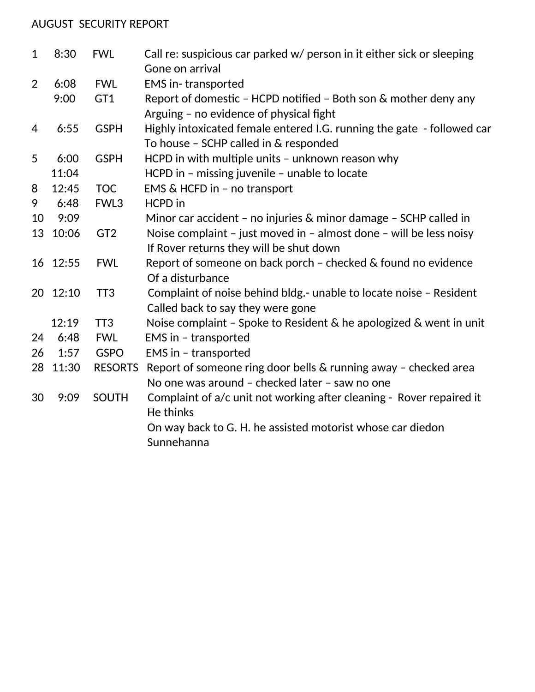## AUGUST SECURITY REPORT

| $\mathbf{1}$   | 8:30  | <b>FWL</b>      | Call re: suspicious car parked w/ person in it either sick or sleeping                                     |
|----------------|-------|-----------------|------------------------------------------------------------------------------------------------------------|
|                |       |                 | Gone on arrival                                                                                            |
| $\overline{2}$ | 6:08  | <b>FWL</b>      | <b>EMS</b> in-transported                                                                                  |
|                | 9:00  | GT1             | Report of domestic - HCPD notified - Both son & mother deny any<br>Arguing - no evidence of physical fight |
| 4              | 6:55  | <b>GSPH</b>     | Highly intoxicated female entered I.G. running the gate - followed car                                     |
|                |       |                 | To house - SCHP called in & responded                                                                      |
| 5              | 6:00  | <b>GSPH</b>     | HCPD in with multiple units - unknown reason why                                                           |
|                | 11:04 |                 | HCPD in - missing juvenile - unable to locate                                                              |
| 8              | 12:45 | <b>TOC</b>      | EMS & HCFD in - no transport                                                                               |
| 9              | 6:48  | FWL3            | <b>HCPD</b> in                                                                                             |
| 10             | 9:09  |                 | Minor car accident - no injuries & minor damage - SCHP called in                                           |
| 13             | 10:06 | GT <sub>2</sub> | Noise complaint - just moved in - almost done - will be less noisy                                         |
|                |       |                 | If Rover returns they will be shut down                                                                    |
| 16             | 12:55 | <b>FWL</b>      | Report of someone on back porch - checked & found no evidence                                              |
|                |       |                 | Of a disturbance                                                                                           |
| 20             | 12:10 | TT <sub>3</sub> | Complaint of noise behind bldg.- unable to locate noise - Resident                                         |
|                |       |                 | Called back to say they were gone                                                                          |
|                | 12:19 | TT <sub>3</sub> | Noise complaint - Spoke to Resident & he apologized & went in unit                                         |
| 24             | 6:48  | <b>FWL</b>      | EMS in - transported                                                                                       |
| 26             | 1:57  | <b>GSPO</b>     | EMS in - transported                                                                                       |
| 28             | 11:30 | <b>RESORTS</b>  | Report of someone ring door bells & running away - checked area                                            |
|                |       |                 | No one was around - checked later - saw no one                                                             |
| 30             | 9:09  | <b>SOUTH</b>    | Complaint of a/c unit not working after cleaning - Rover repaired it                                       |
|                |       |                 | He thinks                                                                                                  |
|                |       |                 | On way back to G. H. he assisted motorist whose car diedon                                                 |
|                |       |                 | Sunnehanna                                                                                                 |